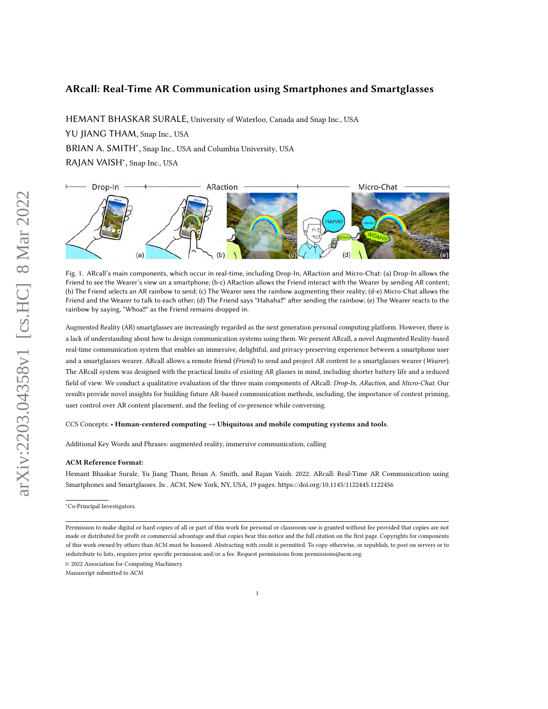# ARcall: Real-Time AR Communication using Smartphones and Smartglasses

HEMANT BHASKAR SURALE, University of Waterloo, Canada and Snap Inc., USA

YU JIANG THAM, Snap Inc., USA

BRIAN A. SMITH<sup>\*</sup>, Snap Inc., USA and Columbia University, USA

RAJAN VAISH<sup>∗</sup> , Snap Inc., USA

<span id="page-0-0"></span>

Fig. 1. ARcall's main components, which occur in real-time, including Drop-In, ARaction and Micro-Chat: (a) Drop-In allows the Friend to see the Wearer's view on a smartphone; (b-c) ARaction allows the Friend interact with the Wearer by sending AR content; (b) The Friend selects an AR rainbow to send; (c) The Wearer sees the rainbow augmenting their reality; (d-e) Micro-Chat allows the Friend and the Wearer to talk to each other; (d) The Friend says "Hahaha‼" after sending the rainbow; (e) The Wearer reacts to the rainbow by saying, "Whoa‼" as the Friend remains dropped in.

Augmented Reality (AR) smartglasses are increasingly regarded as the next generation personal computing platform. However, there is a lack of understanding about how to design communication systems using them. We present ARcall, a novel Augmented Reality-based real-time communication system that enables an immersive, delightful, and privacy-preserving experience between a smartphone user and a smartglasses wearer. ARcall allows a remote friend (Friend) to send and project AR content to a smartglasses wearer (Wearer). The ARcall system was designed with the practical limits of existing AR glasses in mind, including shorter battery life and a reduced field of view. We conduct a qualitative evaluation of the three main components of ARcall: Drop-In, ARaction, and Micro-Chat. Our results provide novel insights for building future AR-based communication methods, including, the importance of context priming, user control over AR content placement, and the feeling of co-presence while conversing.

## CCS Concepts: • Human-centered computing → Ubiquitous and mobile computing systems and tools.

Additional Key Words and Phrases: augmented reality, immersive communication, calling

## ACM Reference Format:

Hemant Bhaskar Surale, Yu Jiang Tham, Brian A. Smith, and Rajan Vaish. 2022. ARcall: Real-Time AR Communication using Smartphones and Smartglasses. In . ACM, New York, NY, USA, [19](#page-18-0) pages.<https://doi.org/10.1145/1122445.1122456>

<sup>∗</sup>Co-Principal Investigators.

© 2022 Association for Computing Machinery.

Manuscript submitted to ACM

Permission to make digital or hard copies of all or part of this work for personal or classroom use is granted without fee provided that copies are not made or distributed for profit or commercial advantage and that copies bear this notice and the full citation on the first page. Copyrights for components of this work owned by others than ACM must be honored. Abstracting with credit is permitted. To copy otherwise, or republish, to post on servers or to redistribute to lists, requires prior specific permission and/or a fee. Request permissions from permissions@acm.org.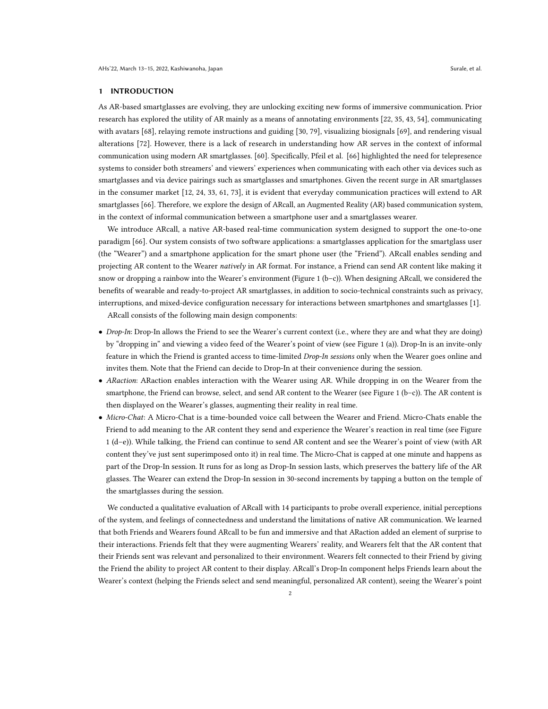## 1 INTRODUCTION

As AR-based smartglasses are evolving, they are unlocking exciting new forms of immersive communication. Prior research has explored the utility of AR mainly as a means of annotating environments [\[22,](#page-16-0) [35,](#page-16-1) [43,](#page-17-0) [54\]](#page-17-1), communicating with avatars [\[68\]](#page-18-1), relaying remote instructions and guiding [\[30,](#page-16-2) [79\]](#page-18-2), visualizing biosignals [\[69\]](#page-18-3), and rendering visual alterations [\[72\]](#page-18-4). However, there is a lack of research in understanding how AR serves in the context of informal communication using modern AR smartglasses. [\[60\]](#page-17-2). Specifically, Pfeil et al. [\[66\]](#page-18-5) highlighted the need for telepresence systems to consider both streamers' and viewers' experiences when communicating with each other via devices such as smartglasses and via device pairings such as smartglasses and smartphones. Given the recent surge in AR smartglasses in the consumer market [\[12,](#page-16-3) [24,](#page-16-4) [33,](#page-16-5) [61,](#page-17-3) [73\]](#page-18-6), it is evident that everyday communication practices will extend to AR smartglasses [\[66\]](#page-18-5). Therefore, we explore the design of ARcall, an Augmented Reality (AR) based communication system, in the context of informal communication between a smartphone user and a smartglasses wearer.

We introduce ARcall, a native AR-based real-time communication system designed to support the one-to-one paradigm [\[66\]](#page-18-5). Our system consists of two software applications: a smartglasses application for the smartglass user (the "Wearer") and a smartphone application for the smart phone user (the "Friend"). ARcall enables sending and projecting AR content to the Wearer natively in AR format. For instance, a Friend can send AR content like making it snow or dropping a rainbow into the Wearer's environment (Figure [1](#page-0-0) (b–c)). When designing ARcall, we considered the benefits of wearable and ready-to-project AR smartglasses, in addition to socio-technical constraints such as privacy, interruptions, and mixed-device configuration necessary for interactions between smartphones and smartglasses [\[1\]](#page-15-0).

ARcall consists of the following main design components:

- Drop-In: Drop-In allows the Friend to see the Wearer's current context (i.e., where they are and what they are doing) by "dropping in" and viewing a video feed of the Wearer's point of view (see Figure [1](#page-0-0) (a)). Drop-In is an invite-only feature in which the Friend is granted access to time-limited Drop-In sessions only when the Wearer goes online and invites them. Note that the Friend can decide to Drop-In at their convenience during the session.
- ARaction: ARaction enables interaction with the Wearer using AR. While dropping in on the Wearer from the smartphone, the Friend can browse, select, and send AR content to the Wearer (see Figure [1](#page-0-0) (b-c)). The AR content is then displayed on the Wearer's glasses, augmenting their reality in real time.
- Micro-Chat: A Micro-Chat is a time-bounded voice call between the Wearer and Friend. Micro-Chats enable the Friend to add meaning to the AR content they send and experience the Wearer's reaction in real time (see Figure [1](#page-0-0) (d–e)). While talking, the Friend can continue to send AR content and see the Wearer's point of view (with AR content they've just sent superimposed onto it) in real time. The Micro-Chat is capped at one minute and happens as part of the Drop-In session. It runs for as long as Drop-In session lasts, which preserves the battery life of the AR glasses. The Wearer can extend the Drop-In session in 30-second increments by tapping a button on the temple of the smartglasses during the session.

We conducted a qualitative evaluation of ARcall with 14 participants to probe overall experience, initial perceptions of the system, and feelings of connectedness and understand the limitations of native AR communication. We learned that both Friends and Wearers found ARcall to be fun and immersive and that ARaction added an element of surprise to their interactions. Friends felt that they were augmenting Wearers' reality, and Wearers felt that the AR content that their Friends sent was relevant and personalized to their environment. Wearers felt connected to their Friend by giving the Friend the ability to project AR content to their display. ARcall's Drop-In component helps Friends learn about the Wearer's context (helping the Friends select and send meaningful, personalized AR content), seeing the Wearer's point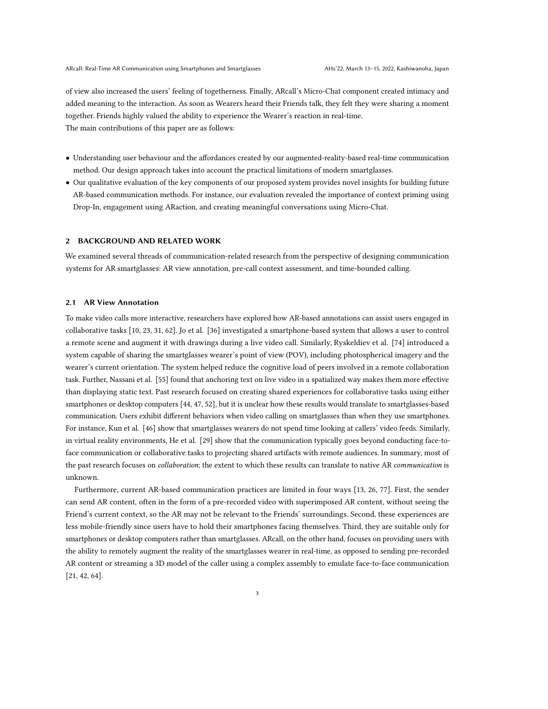of view also increased the users' feeling of togetherness. Finally, ARcall's Micro-Chat component created intimacy and added meaning to the interaction. As soon as Wearers heard their Friends talk, they felt they were sharing a moment together. Friends highly valued the ability to experience the Wearer's reaction in real-time. The main contributions of this paper are as follows:

- Understanding user behaviour and the affordances created by our augmented-reality-based real-time communication method. Our design approach takes into account the practical limitations of modern smartglasses.
- Our qualitative evaluation of the key components of our proposed system provides novel insights for building future AR-based communication methods. For instance, our evaluation revealed the importance of context priming using Drop-In, engagement using ARaction, and creating meaningful conversations using Micro-Chat.

## 2 BACKGROUND AND RELATED WORK

We examined several threads of communication-related research from the perspective of designing communication systems for AR smartglasses: AR view annotation, pre-call context assessment, and time-bounded calling.

## 2.1 AR View Annotation

To make video calls more interactive, researchers have explored how AR-based annotations can assist users engaged in collaborative tasks [\[10,](#page-16-6) [23,](#page-16-7) [31,](#page-16-8) [62\]](#page-17-4). Jo et al. [\[36\]](#page-16-9) investigated a smartphone-based system that allows a user to control a remote scene and augment it with drawings during a live video call. Similarly, Ryskeldiev et al. [\[74\]](#page-18-7) introduced a system capable of sharing the smartglasses wearer's point of view (POV), including photospherical imagery and the wearer's current orientation. The system helped reduce the cognitive load of peers involved in a remote collaboration task. Further, Nassani et al. [\[55\]](#page-17-5) found that anchoring text on live video in a spatialized way makes them more effective than displaying static text. Past research focused on creating shared experiences for collaborative tasks using either smartphones or desktop computers [\[44,](#page-17-6) [47,](#page-17-7) [52\]](#page-17-8), but it is unclear how these results would translate to smartglasses-based communication. Users exhibit different behaviors when video calling on smartglasses than when they use smartphones. For instance, Kun et al. [\[46\]](#page-17-9) show that smartglasses wearers do not spend time looking at callers' video feeds. Similarly, in virtual reality environments, He et al. [\[29\]](#page-16-10) show that the communication typically goes beyond conducting face-toface communication or collaborative tasks to projecting shared artifacts with remote audiences. In summary, most of the past research focuses on *collaboration*; the extent to which these results can translate to native AR *communication* is unknown.

Furthermore, current AR-based communication practices are limited in four ways [\[13,](#page-16-11) [26,](#page-16-12) [77\]](#page-18-8). First, the sender can send AR content, often in the form of a pre-recorded video with superimposed AR content, without seeing the Friend's current context, so the AR may not be relevant to the Friends' surroundings. Second, these experiences are less mobile-friendly since users have to hold their smartphones facing themselves. Third, they are suitable only for smartphones or desktop computers rather than smartglasses. ARcall, on the other hand, focuses on providing users with the ability to remotely augment the reality of the smartglasses wearer in real-time, as opposed to sending pre-recorded AR content or streaming a 3D model of the caller using a complex assembly to emulate face-to-face communication [\[21,](#page-16-13) [42,](#page-17-10) [64\]](#page-17-11).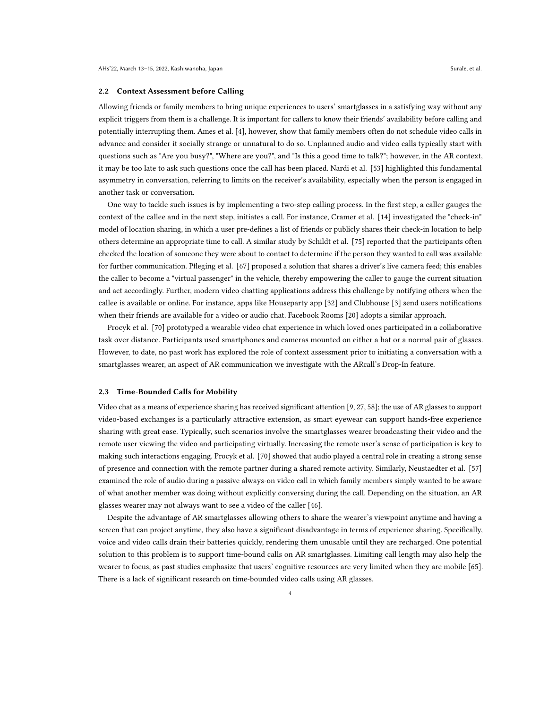#### 2.2 Context Assessment before Calling

Allowing friends or family members to bring unique experiences to users' smartglasses in a satisfying way without any explicit triggers from them is a challenge. It is important for callers to know their friends' availability before calling and potentially interrupting them. Ames et al. [\[4\]](#page-15-1), however, show that family members often do not schedule video calls in advance and consider it socially strange or unnatural to do so. Unplanned audio and video calls typically start with questions such as "Are you busy?", "Where are you?", and "Is this a good time to talk?"; however, in the AR context, it may be too late to ask such questions once the call has been placed. Nardi et al. [\[53\]](#page-17-12) highlighted this fundamental asymmetry in conversation, referring to limits on the receiver's availability, especially when the person is engaged in another task or conversation.

One way to tackle such issues is by implementing a two-step calling process. In the first step, a caller gauges the context of the callee and in the next step, initiates a call. For instance, Cramer et al. [\[14\]](#page-16-14) investigated the "check-in" model of location sharing, in which a user pre-defines a list of friends or publicly shares their check-in location to help others determine an appropriate time to call. A similar study by Schildt et al. [\[75\]](#page-18-9) reported that the participants often checked the location of someone they were about to contact to determine if the person they wanted to call was available for further communication. Pfleging et al. [\[67\]](#page-18-10) proposed a solution that shares a driver's live camera feed; this enables the caller to become a "virtual passenger" in the vehicle, thereby empowering the caller to gauge the current situation and act accordingly. Further, modern video chatting applications address this challenge by notifying others when the callee is available or online. For instance, apps like Houseparty app [\[32\]](#page-16-15) and Clubhouse [\[3\]](#page-15-2) send users notifications when their friends are available for a video or audio chat. Facebook Rooms [\[20\]](#page-16-16) adopts a similar approach.

Procyk et al. [\[70\]](#page-18-11) prototyped a wearable video chat experience in which loved ones participated in a collaborative task over distance. Participants used smartphones and cameras mounted on either a hat or a normal pair of glasses. However, to date, no past work has explored the role of context assessment prior to initiating a conversation with a smartglasses wearer, an aspect of AR communication we investigate with the ARcall's Drop-In feature.

#### 2.3 Time-Bounded Calls for Mobility

Video chat as a means of experience sharing has received significant attention [\[9,](#page-16-17) [27,](#page-16-18) [58\]](#page-17-13); the use of AR glasses to support video-based exchanges is a particularly attractive extension, as smart eyewear can support hands-free experience sharing with great ease. Typically, such scenarios involve the smartglasses wearer broadcasting their video and the remote user viewing the video and participating virtually. Increasing the remote user's sense of participation is key to making such interactions engaging. Procyk et al. [\[70\]](#page-18-11) showed that audio played a central role in creating a strong sense of presence and connection with the remote partner during a shared remote activity. Similarly, Neustaedter et al. [\[57\]](#page-17-14) examined the role of audio during a passive always-on video call in which family members simply wanted to be aware of what another member was doing without explicitly conversing during the call. Depending on the situation, an AR glasses wearer may not always want to see a video of the caller [\[46\]](#page-17-9).

Despite the advantage of AR smartglasses allowing others to share the wearer's viewpoint anytime and having a screen that can project anytime, they also have a significant disadvantage in terms of experience sharing. Specifically, voice and video calls drain their batteries quickly, rendering them unusable until they are recharged. One potential solution to this problem is to support time-bound calls on AR smartglasses. Limiting call length may also help the wearer to focus, as past studies emphasize that users' cognitive resources are very limited when they are mobile [\[65\]](#page-17-15). There is a lack of significant research on time-bounded video calls using AR glasses.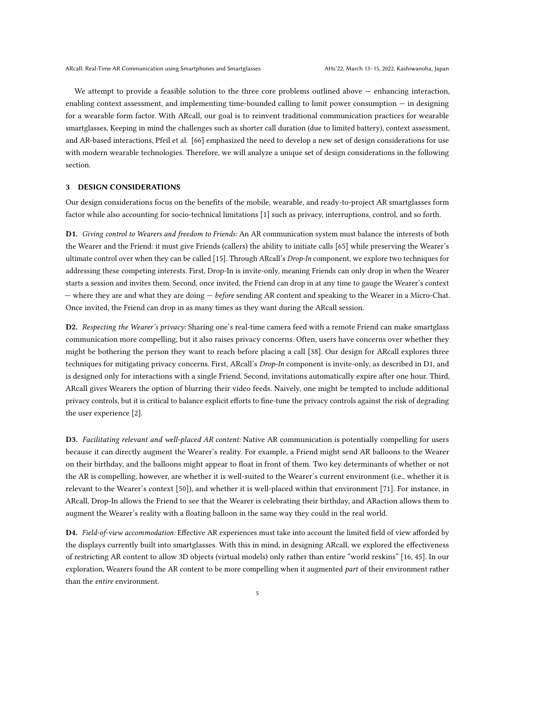We attempt to provide a feasible solution to the three core problems outlined above — enhancing interaction, enabling context assessment, and implementing time-bounded calling to limit power consumption — in designing for a wearable form factor. With ARcall, our goal is to reinvent traditional communication practices for wearable smartglasses, Keeping in mind the challenges such as shorter call duration (due to limited battery), context assessment, and AR-based interactions, Pfeil et al. [\[66\]](#page-18-5) emphasized the need to develop a new set of design considerations for use with modern wearable technologies. Therefore, we will analyze a unique set of design considerations in the following section.

## 3 DESIGN CONSIDERATIONS

Our design considerations focus on the benefits of the mobile, wearable, and ready-to-project AR smartglasses form factor while also accounting for socio-technical limitations [\[1\]](#page-15-0) such as privacy, interruptions, control, and so forth.

<span id="page-4-1"></span>D1. Giving control to Wearers and freedom to Friends: An AR communication system must balance the interests of both the Wearer and the Friend: it must give Friends (callers) the ability to initiate calls [\[65\]](#page-17-15) while preserving the Wearer's ultimate control over when they can be called [\[15\]](#page-16-19). Through ARcall's Drop-In component, we explore two techniques for addressing these competing interests. First, Drop-In is invite-only, meaning Friends can only drop in when the Wearer starts a session and invites them. Second, once invited, the Friend can drop in at any time to gauge the Wearer's context — where they are and what they are doing — before sending AR content and speaking to the Wearer in a Micro-Chat. Once invited, the Friend can drop in as many times as they want during the ARcall session.

<span id="page-4-0"></span>D2. Respecting the Wearer's privacy: Sharing one's real-time camera feed with a remote Friend can make smartglass communication more compelling, but it also raises privacy concerns. Often, users have concerns over whether they might be bothering the person they want to reach before placing a call [\[38\]](#page-16-20). Our design for ARcall explores three techniques for mitigating privacy concerns. First, ARcall's *Drop-In* component is invite-only, as described in D1, and is designed only for interactions with a single Friend. Second, invitations automatically expire after one hour. Third, ARcall gives Wearers the option of blurring their video feeds. Naively, one might be tempted to include additional privacy controls, but it is critical to balance explicit efforts to fine-tune the privacy controls against the risk of degrading the user experience [\[2\]](#page-15-3).

<span id="page-4-3"></span>D3. Facilitating relevant and well-placed AR content: Native AR communication is potentially compelling for users because it can directly augment the Wearer's reality. For example, a Friend might send AR balloons to the Wearer on their birthday, and the balloons might appear to float in front of them. Two key determinants of whether or not the AR is compelling, however, are whether it is well-suited to the Wearer's current environment (i.e., whether it is relevant to the Wearer's context [\[50\]](#page-17-16)), and whether it is well-placed within that environment [\[71\]](#page-18-12). For instance, in ARcall, Drop-In allows the Friend to see that the Wearer is celebrating their birthday, and ARaction allows them to augment the Wearer's reality with a floating balloon in the same way they could in the real world.

<span id="page-4-2"></span>D4. Field-of-view accommodation: Effective AR experiences must take into account the limited field of view afforded by the displays currently built into smartglasses. With this in mind, in designing ARcall, we explored the effectiveness of restricting AR content to allow 3D objects (virtual models) only rather than entire "world reskins" [\[16,](#page-16-21) [45\]](#page-17-17). In our exploration, Wearers found the AR content to be more compelling when it augmented part of their environment rather than the entire environment.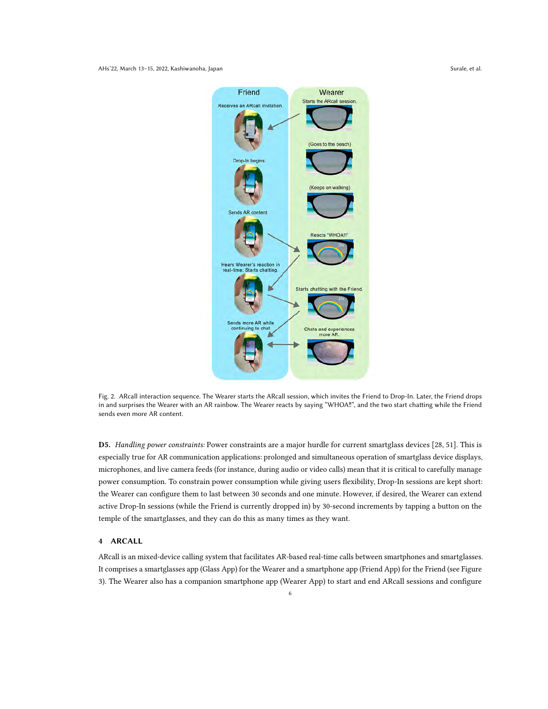<span id="page-5-1"></span>AHs'22, March 13–15, 2022, Kashiwanoha, Japan Surale, et al. Surale, et al. Surale, et al.



Fig. 2. ARcall interaction sequence. The Wearer starts the ARcall session, which invites the Friend to Drop-In. Later, the Friend drops in and surprises the Wearer with an AR rainbow. The Wearer reacts by saying "WHOA‼", and the two start chatting while the Friend sends even more AR content.

<span id="page-5-0"></span>D5. Handling power constraints: Power constraints are a major hurdle for current smartglass devices [\[28,](#page-16-22) [51\]](#page-17-18). This is especially true for AR communication applications: prolonged and simultaneous operation of smartglass device displays, microphones, and live camera feeds (for instance, during audio or video calls) mean that it is critical to carefully manage power consumption. To constrain power consumption while giving users flexibility, Drop-In sessions are kept short: the Wearer can configure them to last between 30 seconds and one minute. However, if desired, the Wearer can extend active Drop-In sessions (while the Friend is currently dropped in) by 30-second increments by tapping a button on the temple of the smartglasses, and they can do this as many times as they want.

## 4 ARCALL

ARcall is an mixed-device calling system that facilitates AR-based real-time calls between smartphones and smartglasses. It comprises a smartglasses app (Glass App) for the Wearer and a smartphone app (Friend App) for the Friend (see Figure [3\)](#page-6-0). The Wearer also has a companion smartphone app (Wearer App) to start and end ARcall sessions and configure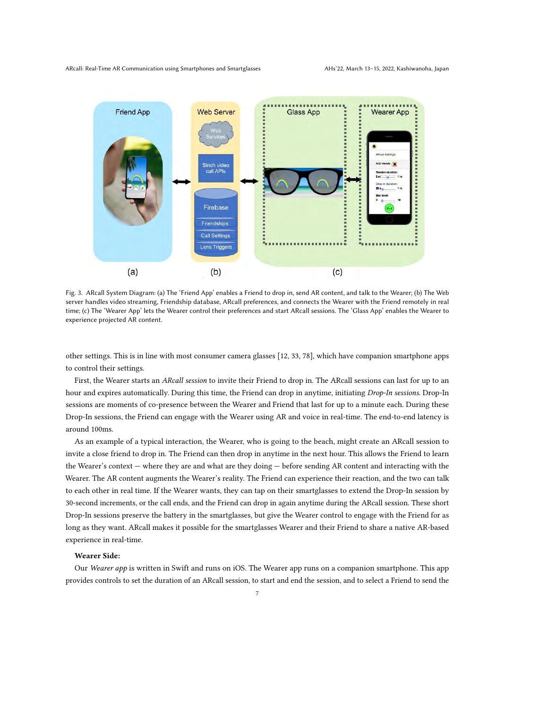<span id="page-6-0"></span>

Fig. 3. ARcall System Diagram: (a) The 'Friend App' enables a Friend to drop in, send AR content, and talk to the Wearer; (b) The Web server handles video streaming, Friendship database, ARcall preferences, and connects the Wearer with the Friend remotely in real time; (c) The 'Wearer App' lets the Wearer control their preferences and start ARcall sessions. The 'Glass App' enables the Wearer to experience projected AR content.

other settings. This is in line with most consumer camera glasses [\[12,](#page-16-3) [33,](#page-16-5) [78\]](#page-18-13), which have companion smartphone apps to control their settings.

First, the Wearer starts an ARcall session to invite their Friend to drop in. The ARcall sessions can last for up to an hour and expires automatically. During this time, the Friend can drop in anytime, initiating Drop-In sessions. Drop-In sessions are moments of co-presence between the Wearer and Friend that last for up to a minute each. During these Drop-In sessions, the Friend can engage with the Wearer using AR and voice in real-time. The end-to-end latency is around 100ms.

As an example of a typical interaction, the Wearer, who is going to the beach, might create an ARcall session to invite a close friend to drop in. The Friend can then drop in anytime in the next hour. This allows the Friend to learn the Wearer's context — where they are and what are they doing — before sending AR content and interacting with the Wearer. The AR content augments the Wearer's reality. The Friend can experience their reaction, and the two can talk to each other in real time. If the Wearer wants, they can tap on their smartglasses to extend the Drop-In session by 30-second increments, or the call ends, and the Friend can drop in again anytime during the ARcall session. These short Drop-In sessions preserve the battery in the smartglasses, but give the Wearer control to engage with the Friend for as long as they want. ARcall makes it possible for the smartglasses Wearer and their Friend to share a native AR-based experience in real-time.

## Wearer Side:

Our Wearer app is written in Swift and runs on iOS. The Wearer app runs on a companion smartphone. This app provides controls to set the duration of an ARcall session, to start and end the session, and to select a Friend to send the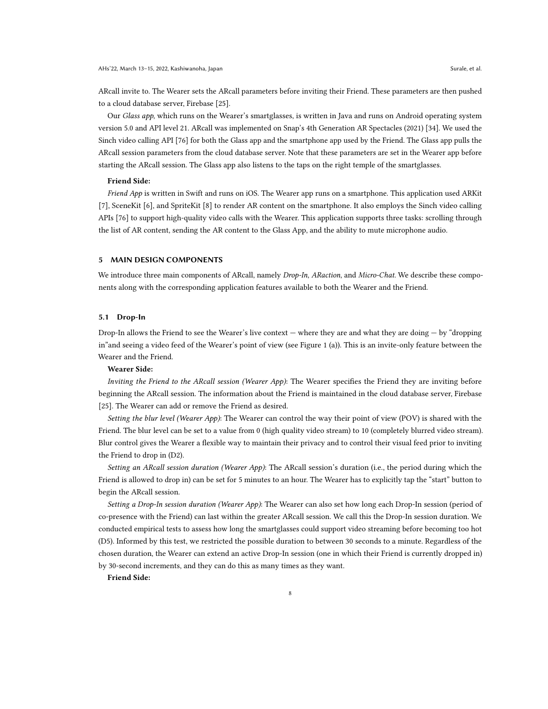ARcall invite to. The Wearer sets the ARcall parameters before inviting their Friend. These parameters are then pushed to a cloud database server, Firebase [\[25\]](#page-16-23).

Our Glass app, which runs on the Wearer's smartglasses, is written in Java and runs on Android operating system version 5.0 and API level 21. ARcall was implemented on Snap's 4th Generation AR Spectacles (2021) [\[34\]](#page-16-24). We used the Sinch video calling API [\[76\]](#page-18-14) for both the Glass app and the smartphone app used by the Friend. The Glass app pulls the ARcall session parameters from the cloud database server. Note that these parameters are set in the Wearer app before starting the ARcall session. The Glass app also listens to the taps on the right temple of the smartglasses.

## Friend Side:

Friend App is written in Swift and runs on iOS. The Wearer app runs on a smartphone. This application used ARKit [\[7\]](#page-16-25), SceneKit [\[6\]](#page-16-26), and SpriteKit [\[8\]](#page-16-27) to render AR content on the smartphone. It also employs the Sinch video calling APIs [\[76\]](#page-18-14) to support high-quality video calls with the Wearer. This application supports three tasks: scrolling through the list of AR content, sending the AR content to the Glass App, and the ability to mute microphone audio.

## 5 MAIN DESIGN COMPONENTS

We introduce three main components of ARcall, namely Drop-In, ARaction, and Micro-Chat. We describe these components along with the corresponding application features available to both the Wearer and the Friend.

## 5.1 Drop-In

Drop-In allows the Friend to see the Wearer's live context — where they are and what they are doing — by "dropping in"and seeing a video feed of the Wearer's point of view (see Figure [1](#page-0-0) (a)). This is an invite-only feature between the Wearer and the Friend.

## Wearer Side:

Inviting the Friend to the ARcall session (Wearer App): The Wearer specifies the Friend they are inviting before beginning the ARcall session. The information about the Friend is maintained in the cloud database server, Firebase [\[25\]](#page-16-23). The Wearer can add or remove the Friend as desired.

Setting the blur level (Wearer App): The Wearer can control the way their point of view (POV) is shared with the Friend. The blur level can be set to a value from 0 (high quality video stream) to 10 (completely blurred video stream). Blur control gives the Wearer a flexible way to maintain their privacy and to control their visual feed prior to inviting the Friend to drop in [\(D2\)](#page-4-0).

Setting an ARcall session duration (Wearer App): The ARcall session's duration (i.e., the period during which the Friend is allowed to drop in) can be set for 5 minutes to an hour. The Wearer has to explicitly tap the "start" button to begin the ARcall session.

Setting a Drop-In session duration (Wearer App): The Wearer can also set how long each Drop-In session (period of co-presence with the Friend) can last within the greater ARcall session. We call this the Drop-In session duration. We conducted empirical tests to assess how long the smartglasses could support video streaming before becoming too hot [\(D5\)](#page-5-0). Informed by this test, we restricted the possible duration to between 30 seconds to a minute. Regardless of the chosen duration, the Wearer can extend an active Drop-In session (one in which their Friend is currently dropped in) by 30-second increments, and they can do this as many times as they want.

8

Friend Side: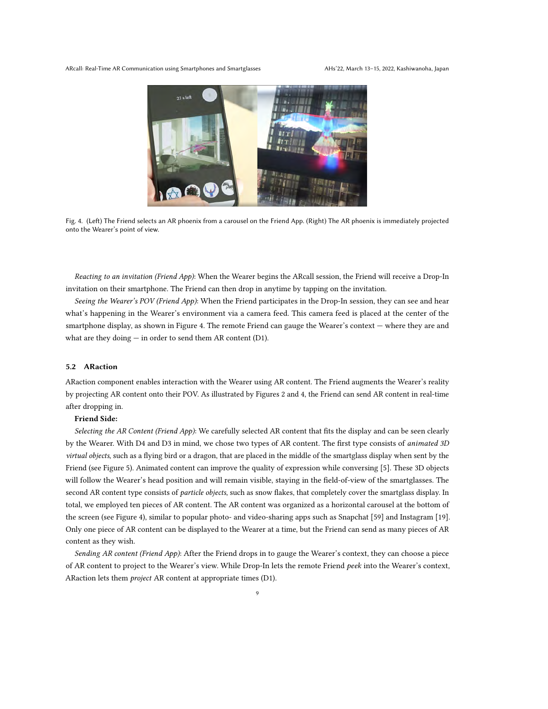ARcall: Real-Time AR Communication using Smartphones and Smartglasses AHs'22, March 13-15, 2022, Kashiwanoha, Japan

<span id="page-8-0"></span>

Fig. 4. (Left) The Friend selects an AR phoenix from a carousel on the Friend App. (Right) The AR phoenix is immediately projected onto the Wearer's point of view.

Reacting to an invitation (Friend App): When the Wearer begins the ARcall session, the Friend will receive a Drop-In invitation on their smartphone. The Friend can then drop in anytime by tapping on the invitation.

Seeing the Wearer's POV (Friend App): When the Friend participates in the Drop-In session, they can see and hear what's happening in the Wearer's environment via a camera feed. This camera feed is placed at the center of the smartphone display, as shown in Figure [4.](#page-8-0) The remote Friend can gauge the Wearer's context — where they are and what are they doing  $-$  in order to send them AR content [\(D1\)](#page-4-1).

## 5.2 ARaction

ARaction component enables interaction with the Wearer using AR content. The Friend augments the Wearer's reality by projecting AR content onto their POV. As illustrated by Figures [2](#page-5-1) and [4,](#page-8-0) the Friend can send AR content in real-time after dropping in.

# Friend Side:

Selecting the AR Content (Friend App): We carefully selected AR content that fits the display and can be seen clearly by the Wearer. With [D4](#page-4-2) and [D3](#page-4-3) in mind, we chose two types of AR content. The first type consists of animated 3D virtual objects, such as a flying bird or a dragon, that are placed in the middle of the smartglass display when sent by the Friend (see Figure [5\)](#page-9-0). Animated content can improve the quality of expression while conversing [\[5\]](#page-16-28). These 3D objects will follow the Wearer's head position and will remain visible, staying in the field-of-view of the smartglasses. The second AR content type consists of particle objects, such as snow flakes, that completely cover the smartglass display. In total, we employed ten pieces of AR content. The AR content was organized as a horizontal carousel at the bottom of the screen (see Figure [4\)](#page-8-0), similar to popular photo- and video-sharing apps such as Snapchat [\[59\]](#page-17-19) and Instagram [\[19\]](#page-16-29). Only one piece of AR content can be displayed to the Wearer at a time, but the Friend can send as many pieces of AR content as they wish.

Sending AR content (Friend App): After the Friend drops in to gauge the Wearer's context, they can choose a piece of AR content to project to the Wearer's view. While Drop-In lets the remote Friend peek into the Wearer's context, ARaction lets them project AR content at appropriate times [\(D1\)](#page-4-1).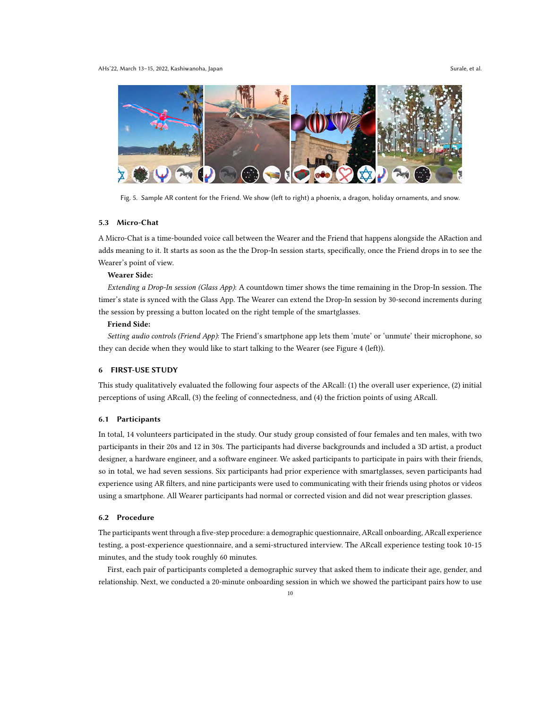<span id="page-9-0"></span>

Fig. 5. Sample AR content for the Friend. We show (left to right) a phoenix, a dragon, holiday ornaments, and snow.

## 5.3 Micro-Chat

A Micro-Chat is a time-bounded voice call between the Wearer and the Friend that happens alongside the ARaction and adds meaning to it. It starts as soon as the the Drop-In session starts, specifically, once the Friend drops in to see the Wearer's point of view.

## Wearer Side:

Extending a Drop-In session (Glass App): A countdown timer shows the time remaining in the Drop-In session. The timer's state is synced with the Glass App. The Wearer can extend the Drop-In session by 30-second increments during the session by pressing a button located on the right temple of the smartglasses.

## Friend Side:

Setting audio controls (Friend App): The Friend's smartphone app lets them 'mute' or 'unmute' their microphone, so they can decide when they would like to start talking to the Wearer (see Figure [4](#page-8-0) (left)).

# 6 FIRST-USE STUDY

This study qualitatively evaluated the following four aspects of the ARcall: (1) the overall user experience, (2) initial perceptions of using ARcall, (3) the feeling of connectedness, and (4) the friction points of using ARcall.

## 6.1 Participants

In total, 14 volunteers participated in the study. Our study group consisted of four females and ten males, with two participants in their 20s and 12 in 30s. The participants had diverse backgrounds and included a 3D artist, a product designer, a hardware engineer, and a software engineer. We asked participants to participate in pairs with their friends, so in total, we had seven sessions. Six participants had prior experience with smartglasses, seven participants had experience using AR filters, and nine participants were used to communicating with their friends using photos or videos using a smartphone. All Wearer participants had normal or corrected vision and did not wear prescription glasses.

# 6.2 Procedure

The participants went through a five-step procedure: a demographic questionnaire, ARcall onboarding, ARcall experience testing, a post-experience questionnaire, and a semi-structured interview. The ARcall experience testing took 10-15 minutes, and the study took roughly 60 minutes.

First, each pair of participants completed a demographic survey that asked them to indicate their age, gender, and relationship. Next, we conducted a 20-minute onboarding session in which we showed the participant pairs how to use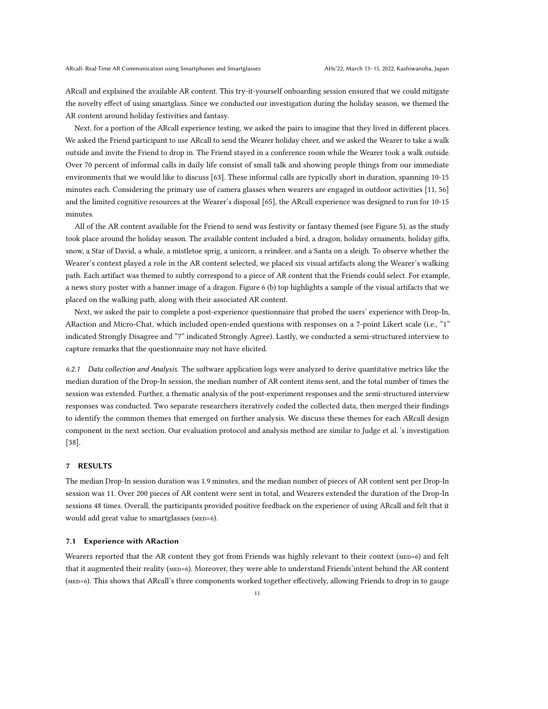ARcall and explained the available AR content. This try-it-yourself onboarding session ensured that we could mitigate the novelty effect of using smartglass. Since we conducted our investigation during the holiday season, we themed the AR content around holiday festivities and fantasy.

Next, for a portion of the ARcall experience testing, we asked the pairs to imagine that they lived in different places. We asked the Friend participant to use ARcall to send the Wearer holiday cheer, and we asked the Wearer to take a walk outside and invite the Friend to drop in. The Friend stayed in a conference room while the Wearer took a walk outside. Over 70 percent of informal calls in daily life consist of small talk and showing people things from our immediate environments that we would like to discuss [\[63\]](#page-17-20). These informal calls are typically short in duration, spanning 10-15 minutes each. Considering the primary use of camera glasses when wearers are engaged in outdoor activities [\[11,](#page-16-30) [56\]](#page-17-21) and the limited cognitive resources at the Wearer's disposal [\[65\]](#page-17-15), the ARcall experience was designed to run for 10-15 minutes.

All of the AR content available for the Friend to send was festivity or fantasy themed (see Figure [5\)](#page-9-0), as the study took place around the holiday season. The available content included a bird, a dragon, holiday ornaments, holiday gifts, snow, a Star of David, a whale, a mistletoe sprig, a unicorn, a reindeer, and a Santa on a sleigh. To observe whether the Wearer's context played a role in the AR content selected, we placed six visual artifacts along the Wearer's walking path. Each artifact was themed to subtly correspond to a piece of AR content that the Friends could select. For example, a news story poster with a banner image of a dragon. Figure [6](#page-11-0) (b) top highlights a sample of the visual artifacts that we placed on the walking path, along with their associated AR content.

Next, we asked the pair to complete a post-experience questionnaire that probed the users' experience with Drop-In, ARaction and Micro-Chat, which included open-ended questions with responses on a 7-point Likert scale (i.e., "1" indicated Strongly Disagree and "7" indicated Strongly Agree). Lastly, we conducted a semi-structured interview to capture remarks that the questionnaire may not have elicited.

6.2.1 Data collection and Analysis. The software application logs were analyzed to derive quantitative metrics like the median duration of the Drop-In session, the median number of AR content items sent, and the total number of times the session was extended. Further, a thematic analysis of the post-experiment responses and the semi-structured interview responses was conducted. Two separate researchers iteratively coded the collected data, then merged their findings to identify the common themes that emerged on further analysis. We discuss these themes for each ARcall design component in the next section. Our evaluation protocol and analysis method are similar to Judge et al. 's investigation [\[38\]](#page-16-20).

### 7 RESULTS

The median Drop-In session duration was 1.9 minutes, and the median number of pieces of AR content sent per Drop-In session was 11. Over 200 pieces of AR content were sent in total, and Wearers extended the duration of the Drop-In sessions 48 times. Overall, the participants provided positive feedback on the experience of using ARcall and felt that it would add great value to smartglasses (MED=6).

## <span id="page-10-0"></span>7.1 Experience with ARaction

Wearers reported that the AR content they got from Friends was highly relevant to their context (MED=6) and felt that it augmented their reality (MED=6). Moreover, they were able to understand Friends' intent behind the AR content (MED=6). This shows that ARcall's three components worked together effectively, allowing Friends to drop in to gauge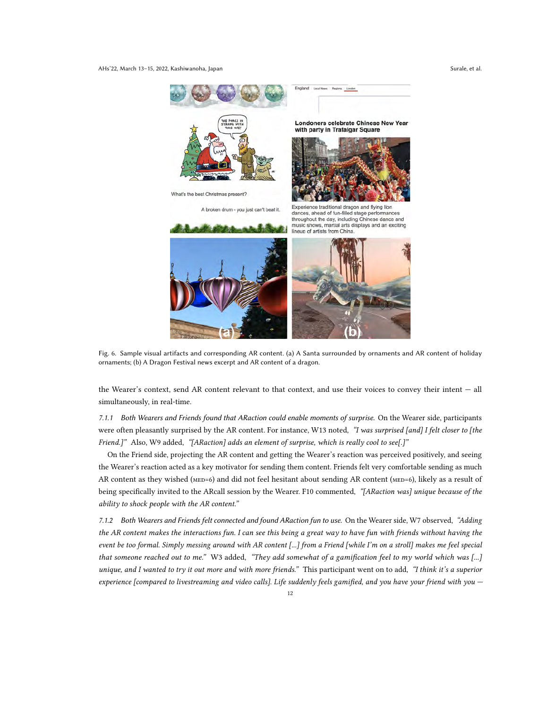#### AHs'22, March 13–15, 2022, Kashiwanoha, Japan Surale, et al. Surale, et al. Surale, et al.

<span id="page-11-0"></span>

Fig. 6. Sample visual artifacts and corresponding AR content. (a) A Santa surrounded by ornaments and AR content of holiday ornaments; (b) A Dragon Festival news excerpt and AR content of a dragon.

the Wearer's context, send AR content relevant to that context, and use their voices to convey their intent — all simultaneously, in real-time.

7.1.1 Both Wearers and Friends found that ARaction could enable moments of surprise. On the Wearer side, participants were often pleasantly surprised by the AR content. For instance, W13 noted, "I was surprised [and] I felt closer to [the Friend.]" Also, W9 added, "[ARaction] adds an element of surprise, which is really cool to see[.]"

On the Friend side, projecting the AR content and getting the Wearer's reaction was perceived positively, and seeing the Wearer's reaction acted as a key motivator for sending them content. Friends felt very comfortable sending as much AR content as they wished ( $_{\text{MED}=6}$ ) and did not feel hesitant about sending AR content ( $_{\text{MED}=6}$ ), likely as a result of being specifically invited to the ARcall session by the Wearer. F10 commented, "[ARaction was] unique because of the ability to shock people with the AR content."

7.1.2 Both Wearers and Friends felt connected and found ARaction fun to use. On the Wearer side, W7 observed, "Adding the AR content makes the interactions fun. I can see this being a great way to have fun with friends without having the event be too formal. Simply messing around with AR content [...] from a Friend [while I'm on a stroll] makes me feel special that someone reached out to me." W3 added, "They add somewhat of a gamification feel to my world which was [...] unique, and I wanted to try it out more and with more friends." This participant went on to add, "I think it's a superior experience [compared to livestreaming and video calls]. Life suddenly feels gamified, and you have your friend with you —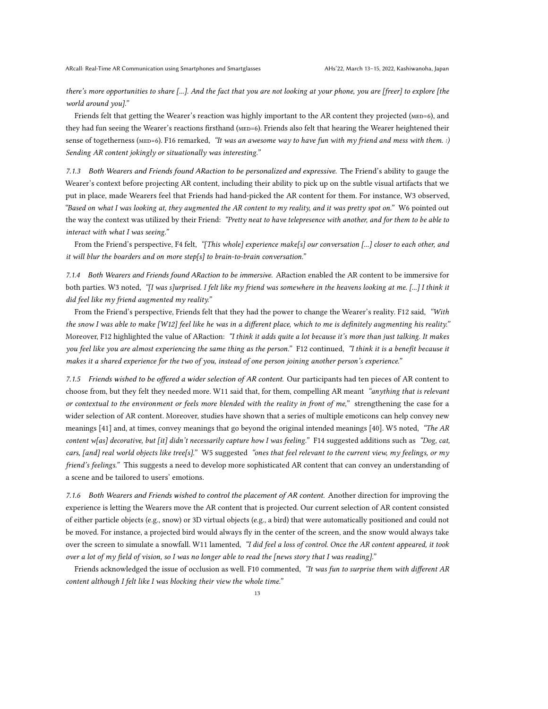there's more opportunities to share [...]. And the fact that you are not looking at your phone, you are [freer] to explore [the world around you]."

Friends felt that getting the Wearer's reaction was highly important to the AR content they projected ( $_{\text{MED=6}}$ ), and they had fun seeing the Wearer's reactions firsthand (MED=6). Friends also felt that hearing the Wearer heightened their sense of togetherness ( $MED=6$ ). F16 remarked, "It was an awesome way to have fun with my friend and mess with them. :) Sending AR content jokingly or situationally was interesting."

7.1.3 Both Wearers and Friends found ARaction to be personalized and expressive. The Friend's ability to gauge the Wearer's context before projecting AR content, including their ability to pick up on the subtle visual artifacts that we put in place, made Wearers feel that Friends had hand-picked the AR content for them. For instance, W3 observed, "Based on what I was looking at, they augmented the AR content to my reality, and it was pretty spot on." W6 pointed out the way the context was utilized by their Friend: "Pretty neat to have telepresence with another, and for them to be able to interact with what I was seeing."

From the Friend's perspective, F4 felt, "[This whole] experience make[s] our conversation [...] closer to each other, and it will blur the boarders and on more step[s] to brain-to-brain conversation."

7.1.4 Both Wearers and Friends found ARaction to be immersive. ARaction enabled the AR content to be immersive for both parties. W3 noted, "[I was s]urprised. I felt like my friend was somewhere in the heavens looking at me. [...] I think it did feel like my friend augmented my reality."

From the Friend's perspective, Friends felt that they had the power to change the Wearer's reality. F12 said, "With the snow I was able to make [W12] feel like he was in a different place, which to me is definitely augmenting his reality." Moreover, F12 highlighted the value of ARaction: "I think it adds quite a lot because it's more than just talking. It makes you feel like you are almost experiencing the same thing as the person." F12 continued, "I think it is a benefit because it makes it a shared experience for the two of you, instead of one person joining another person's experience."

<span id="page-12-0"></span>7.1.5 Friends wished to be offered a wider selection of AR content. Our participants had ten pieces of AR content to choose from, but they felt they needed more. W11 said that, for them, compelling AR meant "anything that is relevant or contextual to the environment or feels more blended with the reality in front of me," strengthening the case for a wider selection of AR content. Moreover, studies have shown that a series of multiple emoticons can help convey new meanings [\[41\]](#page-17-22) and, at times, convey meanings that go beyond the original intended meanings [\[40\]](#page-17-23). W5 noted, "The AR content w[as] decorative, but [it] didn't necessarily capture how I was feeling." F14 suggested additions such as "Dog, cat, cars, [and] real world objects like tree[s]." W5 suggested "ones that feel relevant to the current view, my feelings, or my friend's feelings." This suggests a need to develop more sophisticated AR content that can convey an understanding of a scene and be tailored to users' emotions.

<span id="page-12-1"></span>7.1.6 Both Wearers and Friends wished to control the placement of AR content. Another direction for improving the experience is letting the Wearers move the AR content that is projected. Our current selection of AR content consisted of either particle objects (e.g., snow) or 3D virtual objects (e.g., a bird) that were automatically positioned and could not be moved. For instance, a projected bird would always fly in the center of the screen, and the snow would always take over the screen to simulate a snowfall. W11 lamented, "I did feel a loss of control. Once the AR content appeared, it took over a lot of my field of vision, so I was no longer able to read the [news story that I was reading]."

Friends acknowledged the issue of occlusion as well. F10 commented, "It was fun to surprise them with different AR content although I felt like I was blocking their view the whole time."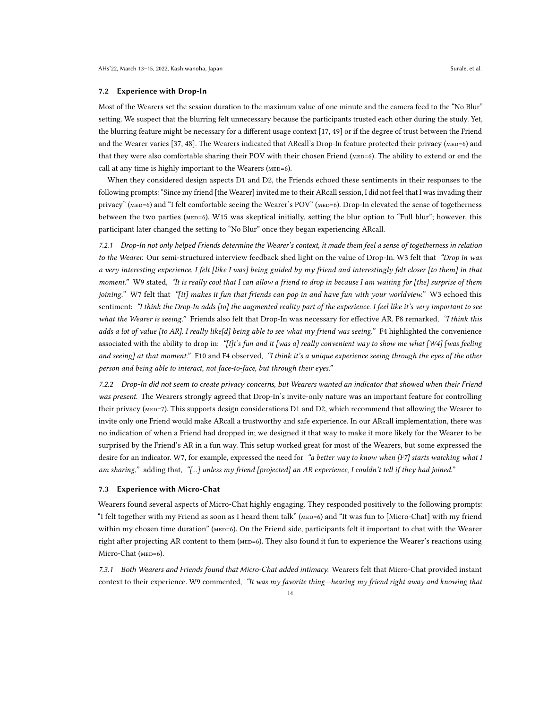#### 7.2 Experience with Drop-In

Most of the Wearers set the session duration to the maximum value of one minute and the camera feed to the "No Blur" setting. We suspect that the blurring felt unnecessary because the participants trusted each other during the study. Yet, the blurring feature might be necessary for a different usage context [\[17,](#page-16-31) [49\]](#page-17-24) or if the degree of trust between the Friend and the Wearer varies [\[37,](#page-16-32) [48\]](#page-17-25). The Wearers indicated that ARcall's Drop-In feature protected their privacy (MED=6) and that they were also comfortable sharing their POV with their chosen Friend (MED=6). The ability to extend or end the call at any time is highly important to the Wearers (MED=6).

When they considered design aspects [D1](#page-4-1) and [D2,](#page-4-0) the Friends echoed these sentiments in their responses to the following prompts: "Since my friend [the Wearer] invited me to their ARcall session, I did not feel that I was invading their privacy" (MED=6) and "I felt comfortable seeing the Wearer's POV" (MED=6). Drop-In elevated the sense of togetherness between the two parties (MED=6). W15 was skeptical initially, setting the blur option to "Full blur"; however, this participant later changed the setting to "No Blur" once they began experiencing ARcall.

7.2.1 Drop-In not only helped Friends determine the Wearer's context, it made them feel a sense of togetherness in relation to the Wearer. Our semi-structured interview feedback shed light on the value of Drop-In. W3 felt that "Drop in was a very interesting experience. I felt [like I was] being guided by my friend and interestingly felt closer [to them] in that moment." W9 stated, "It is really cool that I can allow a friend to drop in because I am waiting for [the] surprise of them joining." W7 felt that "[it] makes it fun that friends can pop in and have fun with your worldview." W3 echoed this sentiment: "I think the Drop-In adds [to] the augmented reality part of the experience. I feel like it's very important to see what the Wearer is seeing." Friends also felt that Drop-In was necessary for effective AR. F8 remarked, "I think this adds a lot of value [to AR]. I really like[d] being able to see what my friend was seeing." F4 highlighted the convenience associated with the ability to drop in: "[I]t's fun and it [was a] really convenient way to show me what [W4] [was feeling and seeing] at that moment." F10 and F4 observed, "I think it's a unique experience seeing through the eyes of the other person and being able to interact, not face-to-face, but through their eyes."

<span id="page-13-0"></span>7.2.2 Drop-In did not seem to create privacy concerns, but Wearers wanted an indicator that showed when their Friend was present. The Wearers strongly agreed that Drop-In's invite-only nature was an important feature for controlling their privacy (MED=7). This supports design considerations [D1](#page-4-1) and [D2,](#page-4-0) which recommend that allowing the Wearer to invite only one Friend would make ARcall a trustworthy and safe experience. In our ARcall implementation, there was no indication of when a Friend had dropped in; we designed it that way to make it more likely for the Wearer to be surprised by the Friend's AR in a fun way. This setup worked great for most of the Wearers, but some expressed the desire for an indicator. W7, for example, expressed the need for "a better way to know when [F7] starts watching what I am sharing," adding that, "[...] unless my friend [projected] an AR experience, I couldn't tell if they had joined."

## <span id="page-13-1"></span>7.3 Experience with Micro-Chat

Wearers found several aspects of Micro-Chat highly engaging. They responded positively to the following prompts: "I felt together with my Friend as soon as I heard them talk" (MED=6) and "It was fun to [Micro-Chat] with my friend within my chosen time duration" (MED=6). On the Friend side, participants felt it important to chat with the Wearer right after projecting AR content to them (MED=6). They also found it fun to experience the Wearer's reactions using Micro-Chat (MED=6).

7.3.1 Both Wearers and Friends found that Micro-Chat added intimacy. Wearers felt that Micro-Chat provided instant context to their experience. W9 commented, "It was my favorite thing—hearing my friend right away and knowing that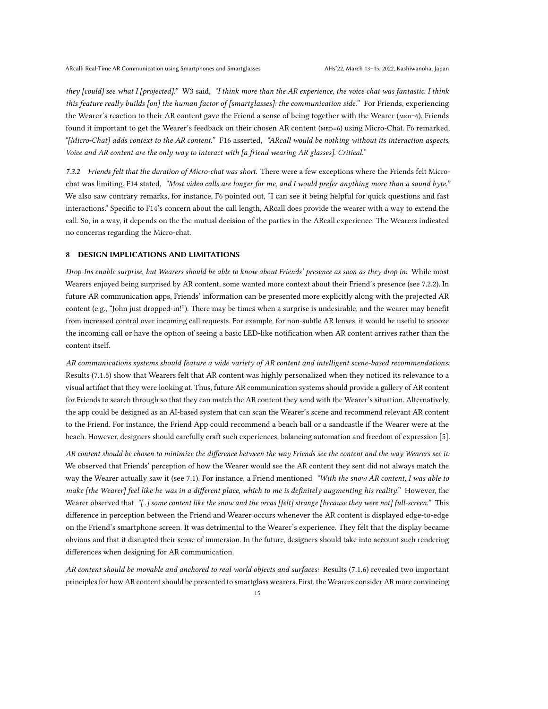they [could] see what I [projected]." W3 said, "I think more than the AR experience, the voice chat was fantastic. I think this feature really builds [on] the human factor of [smartglasses]: the communication side." For Friends, experiencing the Wearer's reaction to their AR content gave the Friend a sense of being together with the Wearer (MED=6). Friends found it important to get the Wearer's feedback on their chosen AR content (MED=6) using Micro-Chat. F6 remarked, "[Micro-Chat] adds context to the AR content." F16 asserted, "ARcall would be nothing without its interaction aspects. Voice and AR content are the only way to interact with [a friend wearing AR glasses]. Critical."

7.3.2 Friends felt that the duration of Micro-chat was short. There were a few exceptions where the Friends felt Microchat was limiting. F14 stated, "Most video calls are longer for me, and I would prefer anything more than a sound byte." We also saw contrary remarks, for instance, F6 pointed out, "I can see it being helpful for quick questions and fast interactions." Specific to F14's concern about the call length, ARcall does provide the wearer with a way to extend the call. So, in a way, it depends on the the mutual decision of the parties in the ARcall experience. The Wearers indicated no concerns regarding the Micro-chat.

## 8 DESIGN IMPLICATIONS AND LIMITATIONS

Drop-Ins enable surprise, but Wearers should be able to know about Friends' presence as soon as they drop in: While most Wearers enjoyed being surprised by AR content, some wanted more context about their Friend's presence (see [7.2.2\)](#page-13-0). In future AR communication apps, Friends' information can be presented more explicitly along with the projected AR content (e.g., "John just dropped-in!"). There may be times when a surprise is undesirable, and the wearer may benefit from increased control over incoming call requests. For example, for non-subtle AR lenses, it would be useful to snooze the incoming call or have the option of seeing a basic LED-like notification when AR content arrives rather than the content itself.

AR communications systems should feature a wide variety of AR content and intelligent scene-based recommendations: Results [\(7.1.5\)](#page-12-0) show that Wearers felt that AR content was highly personalized when they noticed its relevance to a visual artifact that they were looking at. Thus, future AR communication systems should provide a gallery of AR content for Friends to search through so that they can match the AR content they send with the Wearer's situation. Alternatively, the app could be designed as an AI-based system that can scan the Wearer's scene and recommend relevant AR content to the Friend. For instance, the Friend App could recommend a beach ball or a sandcastle if the Wearer were at the beach. However, designers should carefully craft such experiences, balancing automation and freedom of expression [\[5\]](#page-16-28).

AR content should be chosen to minimize the difference between the way Friends see the content and the way Wearers see it: We observed that Friends' perception of how the Wearer would see the AR content they sent did not always match the way the Wearer actually saw it (see [7.1\)](#page-10-0). For instance, a Friend mentioned "With the snow AR content, I was able to make [the Wearer] feel like he was in a different place, which to me is definitely augmenting his reality." However, the Wearer observed that "[..] some content like the snow and the orcas [felt] strange [because they were not] full-screen." This difference in perception between the Friend and Wearer occurs whenever the AR content is displayed edge-to-edge on the Friend's smartphone screen. It was detrimental to the Wearer's experience. They felt that the display became obvious and that it disrupted their sense of immersion. In the future, designers should take into account such rendering differences when designing for AR communication.

AR content should be movable and anchored to real world objects and surfaces: Results [\(7.1.6\)](#page-12-1) revealed two important principles for how AR content should be presented to smartglass wearers. First, the Wearers consider AR more convincing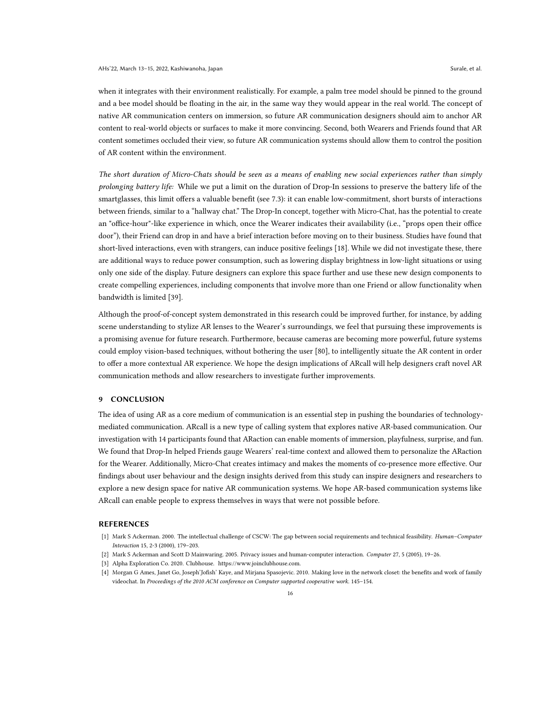when it integrates with their environment realistically. For example, a palm tree model should be pinned to the ground and a bee model should be floating in the air, in the same way they would appear in the real world. The concept of native AR communication centers on immersion, so future AR communication designers should aim to anchor AR content to real-world objects or surfaces to make it more convincing. Second, both Wearers and Friends found that AR content sometimes occluded their view, so future AR communication systems should allow them to control the position of AR content within the environment.

The short duration of Micro-Chats should be seen as a means of enabling new social experiences rather than simply prolonging battery life: While we put a limit on the duration of Drop-In sessions to preserve the battery life of the smartglasses, this limit offers a valuable benefit (see [7.3\)](#page-13-1): it can enable low-commitment, short bursts of interactions between friends, similar to a "hallway chat." The Drop-In concept, together with Micro-Chat, has the potential to create an "office-hour"-like experience in which, once the Wearer indicates their availability (i.e., "props open their office door"), their Friend can drop in and have a brief interaction before moving on to their business. Studies have found that short-lived interactions, even with strangers, can induce positive feelings [\[18\]](#page-16-33). While we did not investigate these, there are additional ways to reduce power consumption, such as lowering display brightness in low-light situations or using only one side of the display. Future designers can explore this space further and use these new design components to create compelling experiences, including components that involve more than one Friend or allow functionality when bandwidth is limited [\[39\]](#page-17-26).

Although the proof-of-concept system demonstrated in this research could be improved further, for instance, by adding scene understanding to stylize AR lenses to the Wearer's surroundings, we feel that pursuing these improvements is a promising avenue for future research. Furthermore, because cameras are becoming more powerful, future systems could employ vision-based techniques, without bothering the user [\[80\]](#page-18-15), to intelligently situate the AR content in order to offer a more contextual AR experience. We hope the design implications of ARcall will help designers craft novel AR communication methods and allow researchers to investigate further improvements.

## 9 CONCLUSION

The idea of using AR as a core medium of communication is an essential step in pushing the boundaries of technologymediated communication. ARcall is a new type of calling system that explores native AR-based communication. Our investigation with 14 participants found that ARaction can enable moments of immersion, playfulness, surprise, and fun. We found that Drop-In helped Friends gauge Wearers' real-time context and allowed them to personalize the ARaction for the Wearer. Additionally, Micro-Chat creates intimacy and makes the moments of co-presence more effective. Our findings about user behaviour and the design insights derived from this study can inspire designers and researchers to explore a new design space for native AR communication systems. We hope AR-based communication systems like ARcall can enable people to express themselves in ways that were not possible before.

## REFERENCES

- <span id="page-15-0"></span>[1] Mark S Ackerman. 2000. The intellectual challenge of CSCW: The gap between social requirements and technical feasibility. Human–Computer Interaction 15, 2-3 (2000), 179–203.
- <span id="page-15-3"></span>[2] Mark S Ackerman and Scott D Mainwaring. 2005. Privacy issues and human-computer interaction. Computer 27, 5 (2005), 19–26.
- <span id="page-15-2"></span>[3] Alpha Exploration Co. 2020. Clubhouse. [https://www.joinclubhouse.com.](https://www.joinclubhouse.com)
- <span id="page-15-1"></span>[4] Morgan G Ames, Janet Go, Joseph'Jofish' Kaye, and Mirjana Spasojevic. 2010. Making love in the network closet: the benefits and work of family videochat. In Proceedings of the 2010 ACM conference on Computer supported cooperative work. 145–154.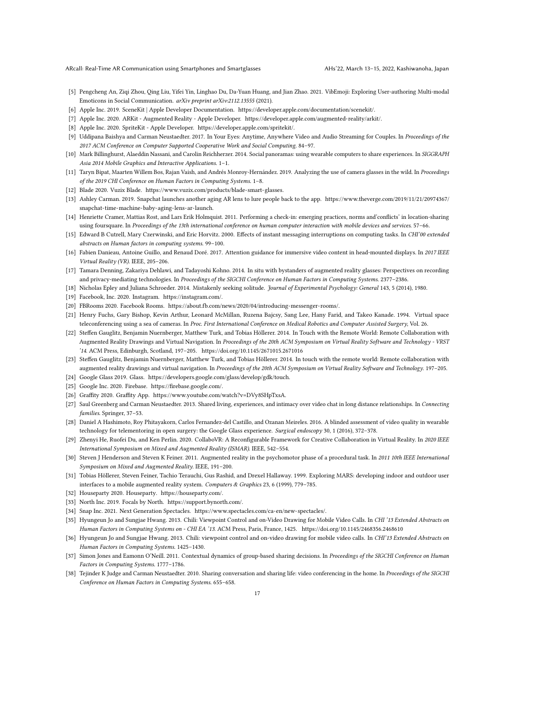ARcall: Real-Time AR Communication using Smartphones and Smartglasses AHs'22, March 13–15, 2022, Kashiwanoha, Japan

- <span id="page-16-28"></span>[5] Pengcheng An, Ziqi Zhou, Qing Liu, Yifei Yin, Linghao Du, Da-Yuan Huang, and Jian Zhao. 2021. VibEmoji: Exploring User-authoring Multi-modal Emoticons in Social Communication. arXiv preprint arXiv:2112.13555 (2021).
- <span id="page-16-26"></span>[6] Apple Inc. 2019. SceneKit | Apple Developer Documentation. [https://developer.apple.com/documentation/scenekit/.](https://developer.apple.com/documentation/scenekit/)
- <span id="page-16-25"></span>[7] Apple Inc. 2020. ARKit - Augmented Reality - Apple Developer. [https://developer.apple.com/augmented-reality/arkit/.](https://developer.apple.com/augmented-reality/arkit/)
- <span id="page-16-27"></span>[8] Apple Inc. 2020. SpriteKit - Apple Developer. [https://developer.apple.com/spritekit/.](https://developer.apple.com/spritekit/)
- <span id="page-16-17"></span>[9] Uddipana Baishya and Carman Neustaedter. 2017. In Your Eyes: Anytime, Anywhere Video and Audio Streaming for Couples. In Proceedings of the 2017 ACM Conference on Computer Supported Cooperative Work and Social Computing. 84–97.
- <span id="page-16-6"></span>[10] Mark Billinghurst, Alaeddin Nassani, and Carolin Reichherzer. 2014. Social panoramas: using wearable computers to share experiences. In SIGGRAPH Asia 2014 Mobile Graphics and Interactive Applications. 1–1.
- <span id="page-16-30"></span>[11] Taryn Bipat, Maarten Willem Bos, Rajan Vaish, and Andrés Monroy-Hernández. 2019. Analyzing the use of camera glasses in the wild. In Proceedings of the 2019 CHI Conference on Human Factors in Computing Systems. 1–8.
- <span id="page-16-3"></span>[12] Blade 2020. Vuzix Blade. [https://www.vuzix.com/products/blade-smart-glasses.](https://www.vuzix.com/products/blade-smart-glasses)
- <span id="page-16-11"></span>[13] Ashley Carman. 2019. Snapchat launches another aging AR lens to lure people back to the app. [https://www.theverge.com/2019/11/21/20974367/](https://www.theverge.com/2019/11/21/20974367/snapchat-time-machine-baby-aging-lens-ar-launch) [snapchat-time-machine-baby-aging-lens-ar-launch.](https://www.theverge.com/2019/11/21/20974367/snapchat-time-machine-baby-aging-lens-ar-launch)
- <span id="page-16-14"></span>[14] Henriette Cramer, Mattias Rost, and Lars Erik Holmquist. 2011. Performing a check-in: emerging practices, norms and'conflicts' in location-sharing using foursquare. In Proceedings of the 13th international conference on human computer interaction with mobile devices and services. 57–66.
- <span id="page-16-19"></span>[15] Edward B Cutrell, Mary Czerwinski, and Eric Horvitz. 2000. Effects of instant messaging interruptions on computing tasks. In CHI'00 extended abstracts on Human factors in computing systems. 99–100.
- <span id="page-16-21"></span>[16] Fabien Danieau, Antoine Guillo, and Renaud Doré. 2017. Attention guidance for immersive video content in head-mounted displays. In 2017 IEEE Virtual Reality (VR). IEEE, 205–206.
- <span id="page-16-31"></span>[17] Tamara Denning, Zakariya Dehlawi, and Tadayoshi Kohno. 2014. In situ with bystanders of augmented reality glasses: Perspectives on recording and privacy-mediating technologies. In Proceedings of the SIGCHI Conference on Human Factors in Computing Systems. 2377–2386.
- <span id="page-16-33"></span>[18] Nicholas Epley and Juliana Schroeder. 2014. Mistakenly seeking solitude. Journal of Experimental Psychology: General 143, 5 (2014), 1980.
- <span id="page-16-29"></span>[19] Facebook, Inc. 2020. Instagram. [https://instagram.com/.](https://instagram.com/)
- <span id="page-16-16"></span>[20] FBRooms 2020. Facebook Rooms. [https://about.fb.com/news/2020/04/introducing-messenger-rooms/.](https://about.fb.com/news/2020/04/introducing-messenger-rooms/)
- <span id="page-16-13"></span>[21] Henry Fuchs, Gary Bishop, Kevin Arthur, Leonard McMillan, Ruzena Bajcsy, Sang Lee, Hany Farid, and Takeo Kanade. 1994. Virtual space teleconferencing using a sea of cameras. In Proc. First International Conference on Medical Robotics and Computer Assisted Surgery, Vol. 26.
- <span id="page-16-0"></span>[22] Steffen Gauglitz, Benjamin Nuernberger, Matthew Turk, and Tobias Höllerer. 2014. In Touch with the Remote World: Remote Collaboration with Augmented Reality Drawings and Virtual Navigation. In Proceedings of the 20th ACM Symposium on Virtual Reality Software and Technology - VRST '14. ACM Press, Edinburgh, Scotland, 197–205.<https://doi.org/10.1145/2671015.2671016>
- <span id="page-16-7"></span>[23] Steffen Gauglitz, Benjamin Nuernberger, Matthew Turk, and Tobias Höllerer. 2014. In touch with the remote world: Remote collaboration with augmented reality drawings and virtual navigation. In Proceedings of the 20th ACM Symposium on Virtual Reality Software and Technology. 197–205.
- <span id="page-16-4"></span>[24] Google Glass 2019. Glass. [https://developers.google.com/glass/develop/gdk/touch.](https://developers.google.com/glass/develop/gdk/touch)
- <span id="page-16-23"></span>[25] Google Inc. 2020. Firebase. [https://firebase.google.com/.](https://firebase.google.com/)
- <span id="page-16-12"></span>[26] Graffity 2020. Graffity App. [https://www.youtube.com/watch?v=DVy8SHpTxsA.](https://www.youtube.com/watch?v=DVy8SHpTxsA)
- <span id="page-16-18"></span>[27] Saul Greenberg and Carman Neustaedter. 2013. Shared living, experiences, and intimacy over video chat in long distance relationships. In Connecting families. Springer, 37–53.
- <span id="page-16-22"></span>[28] Daniel A Hashimoto, Roy Phitayakorn, Carlos Fernandez-del Castillo, and Ozanan Meireles. 2016. A blinded assessment of video quality in wearable technology for telementoring in open surgery: the Google Glass experience. Surgical endoscopy 30, 1 (2016), 372–378.
- <span id="page-16-10"></span>[29] Zhenyi He, Ruofei Du, and Ken Perlin. 2020. CollaboVR: A Reconfigurable Framework for Creative Collaboration in Virtual Reality. In 2020 IEEE International Symposium on Mixed and Augmented Reality (ISMAR). IEEE, 542–554.
- <span id="page-16-2"></span>[30] Steven J Henderson and Steven K Feiner. 2011. Augmented reality in the psychomotor phase of a procedural task. In 2011 10th IEEE International Symposium on Mixed and Augmented Reality. IEEE, 191–200.
- <span id="page-16-8"></span>[31] Tobias Höllerer, Steven Feiner, Tachio Terauchi, Gus Rashid, and Drexel Hallaway. 1999. Exploring MARS: developing indoor and outdoor user interfaces to a mobile augmented reality system. Computers & Graphics 23, 6 (1999), 779–785.
- <span id="page-16-15"></span><span id="page-16-5"></span>[32] Houseparty 2020. Houseparty. [https://houseparty.com/.](https://houseparty.com/)
- [33] North Inc. 2019. Focals by North. [https://support.bynorth.com/.](https://support.bynorth.com/)
- <span id="page-16-24"></span>[34] Snap Inc. 2021. Next Generation Spectacles. [https://www.spectacles.com/ca-en/new-spectacles/.](https://www.spectacles.com/ca-en/new-spectacles/)
- <span id="page-16-1"></span>[35] Hyungeun Jo and Sungjae Hwang. 2013. Chili: Viewpoint Control and on-Video Drawing for Mobile Video Calls. In CHI '13 Extended Abstracts on Human Factors in Computing Systems on - CHI EA '13. ACM Press, Paris, France, 1425.<https://doi.org/10.1145/2468356.2468610>
- <span id="page-16-9"></span>[36] Hyungeun Jo and Sungjae Hwang. 2013. Chili: viewpoint control and on-video drawing for mobile video calls. In CHI'13 Extended Abstracts on Human Factors in Computing Systems. 1425–1430.
- <span id="page-16-32"></span>[37] Simon Jones and Eamonn O'Neill. 2011. Contextual dynamics of group-based sharing decisions. In Proceedings of the SIGCHI Conference on Human Factors in Computing Systems. 1777–1786.
- <span id="page-16-20"></span>[38] Tejinder K Judge and Carman Neustaedter. 2010. Sharing conversation and sharing life: video conferencing in the home. In Proceedings of the SIGCHI Conference on Human Factors in Computing Systems. 655–658.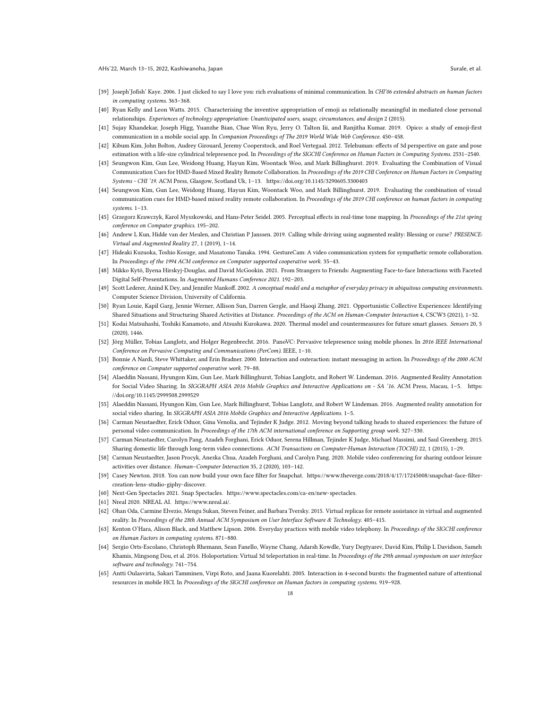- <span id="page-17-26"></span>[39] Joseph'Jofish' Kaye. 2006. I just clicked to say I love you: rich evaluations of minimal communication. In CHI'06 extended abstracts on human factors in computing systems. 363–368.
- <span id="page-17-23"></span>[40] Ryan Kelly and Leon Watts. 2015. Characterising the inventive appropriation of emoji as relationally meaningful in mediated close personal relationships. Experiences of technology appropriation: Unanticipated users, usage, circumstances, and design 2 (2015).
- <span id="page-17-22"></span>[41] Sujay Khandekar, Joseph Higg, Yuanzhe Bian, Chae Won Ryu, Jerry O. Talton Iii, and Ranjitha Kumar. 2019. Opico: a study of emoji-first communication in a mobile social app. In Companion Proceedings of The 2019 World Wide Web Conference. 450-458.
- <span id="page-17-10"></span>[42] Kibum Kim, John Bolton, Audrey Girouard, Jeremy Cooperstock, and Roel Vertegaal. 2012. Telehuman: effects of 3d perspective on gaze and pose estimation with a life-size cylindrical telepresence pod. In Proceedings of the SIGCHI Conference on Human Factors in Computing Systems. 2531–2540.
- <span id="page-17-0"></span>[43] Seungwon Kim, Gun Lee, Weidong Huang, Hayun Kim, Woontack Woo, and Mark Billinghurst. 2019. Evaluating the Combination of Visual Communication Cues for HMD-Based Mixed Reality Remote Collaboration. In Proceedings of the 2019 CHI Conference on Human Factors in Computing Systems - CHI '19. ACM Press, Glasgow, Scotland Uk, 1–13.<https://doi.org/10.1145/3290605.3300403>
- <span id="page-17-6"></span>[44] Seungwon Kim, Gun Lee, Weidong Huang, Hayun Kim, Woontack Woo, and Mark Billinghurst. 2019. Evaluating the combination of visual communication cues for HMD-based mixed reality remote collaboration. In Proceedings of the 2019 CHI conference on human factors in computing systems. 1–13.
- <span id="page-17-17"></span>[45] Grzegorz Krawczyk, Karol Myszkowski, and Hans-Peter Seidel. 2005. Perceptual effects in real-time tone mapping. In Proceedings of the 21st spring conference on Computer graphics. 195–202.
- <span id="page-17-9"></span>[46] Andrew L Kun, Hidde van der Meulen, and Christian P Janssen. 2019. Calling while driving using augmented reality: Blessing or curse? PRESENCE: Virtual and Augmented Reality 27, 1 (2019), 1–14.
- <span id="page-17-7"></span>[47] Hideaki Kuzuoka, Toshio Kosuge, and Masatomo Tanaka. 1994. GestureCam: A video communication system for sympathetic remote collaboration. In Proceedings of the 1994 ACM conference on Computer supported cooperative work. 35–43.
- <span id="page-17-25"></span>[48] Mikko Kytö, Ilyena Hirskyj-Douglas, and David McGookin. 2021. From Strangers to Friends: Augmenting Face-to-face Interactions with Faceted Digital Self-Presentations. In Augmented Humans Conference 2021. 192–203.
- <span id="page-17-24"></span>Scott Lederer, Anind K Dey, and Jennifer Mankoff. 2002. A conceptual model and a metaphor of everyday privacy in ubiquitous computing environments. Computer Science Division, University of California.
- <span id="page-17-16"></span>[50] Ryan Louie, Kapil Garg, Jennie Werner, Allison Sun, Darren Gergle, and Haoqi Zhang. 2021. Opportunistic Collective Experiences: Identifying Shared Situations and Structuring Shared Activities at Distance. Proceedings of the ACM on Human-Computer Interaction 4, CSCW3 (2021), 1–32.
- <span id="page-17-18"></span>[51] Kodai Matsuhashi, Toshiki Kanamoto, and Atsushi Kurokawa. 2020. Thermal model and countermeasures for future smart glasses. Sensors 20, 5 (2020), 1446.
- <span id="page-17-8"></span>[52] Jörg Müller, Tobias Langlotz, and Holger Regenbrecht. 2016. PanoVC: Pervasive telepresence using mobile phones. In 2016 IEEE International Conference on Pervasive Computing and Communications (PerCom). IEEE, 1–10.
- <span id="page-17-12"></span>[53] Bonnie A Nardi, Steve Whittaker, and Erin Bradner. 2000. Interaction and outeraction: instant messaging in action. In Proceedings of the 2000 ACM conference on Computer supported cooperative work. 79–88.
- <span id="page-17-1"></span>[54] Alaeddin Nassani, Hyungon Kim, Gun Lee, Mark Billinghurst, Tobias Langlotz, and Robert W. Lindeman. 2016. Augmented Reality Annotation for Social Video Sharing. In SIGGRAPH ASIA 2016 Mobile Graphics and Interactive Applications on - SA '16. ACM Press, Macau, 1–5. [https:](https://doi.org/10.1145/2999508.2999529) [//doi.org/10.1145/2999508.2999529](https://doi.org/10.1145/2999508.2999529)
- <span id="page-17-5"></span>[55] Alaeddin Nassani, Hyungon Kim, Gun Lee, Mark Billinghurst, Tobias Langlotz, and Robert W Lindeman. 2016. Augmented reality annotation for social video sharing. In SIGGRAPH ASIA 2016 Mobile Graphics and Interactive Applications. 1-5.
- <span id="page-17-21"></span>[56] Carman Neustaedter, Erick Oduor, Gina Venolia, and Tejinder K Judge. 2012. Moving beyond talking heads to shared experiences: the future of personal video communication. In Proceedings of the 17th ACM international conference on Supporting group work. 327–330.
- <span id="page-17-14"></span>[57] Carman Neustaedter, Carolyn Pang, Azadeh Forghani, Erick Oduor, Serena Hillman, Tejinder K Judge, Michael Massimi, and Saul Greenberg. 2015. Sharing domestic life through long-term video connections. ACM Transactions on Computer-Human Interaction (TOCHI) 22, 1 (2015), 1–29
- <span id="page-17-13"></span>[58] Carman Neustaedter, Jason Procyk, Anezka Chua, Azadeh Forghani, and Carolyn Pang. 2020. Mobile video conferencing for sharing outdoor leisure activities over distance. Human–Computer Interaction 35, 2 (2020), 103–142.
- <span id="page-17-19"></span>[59] Casey Newton. 2018. You can now build your own face filter for Snapchat. [https://www.theverge.com/2018/4/17/17245008/snapchat-face-filter](https://www.theverge.com/2018/4/17/17245008/snapchat-face-filter-creation-lens-studio-giphy-discover)[creation-lens-studio-giphy-discover.](https://www.theverge.com/2018/4/17/17245008/snapchat-face-filter-creation-lens-studio-giphy-discover)
- <span id="page-17-3"></span><span id="page-17-2"></span>[60] Next-Gen Spectacles 2021. Snap Spectacles. [https://www.spectacles.com/ca-en/new-spectacles.](https://www.spectacles.com/ca-en/new-spectacles)
- [61] Nreal 2020. NREAL AI. [https://www.nreal.ai/.](https://www.nreal.ai/)
- <span id="page-17-4"></span>[62] Ohan Oda, Carmine Elvezio, Mengu Sukan, Steven Feiner, and Barbara Tversky. 2015. Virtual replicas for remote assistance in virtual and augmented reality. In Proceedings of the 28th Annual ACM Symposium on User Interface Software & Technology. 405–415.
- <span id="page-17-20"></span>[63] Kenton O'Hara, Alison Black, and Matthew Lipson. 2006. Everyday practices with mobile video telephony. In Proceedings of the SIGCHI conference on Human Factors in computing systems. 871–880.
- <span id="page-17-11"></span>[64] Sergio Orts-Escolano, Christoph Rhemann, Sean Fanello, Wayne Chang, Adarsh Kowdle, Yury Degtyarev, David Kim, Philip L Davidson, Sameh Khamis, Mingsong Dou, et al. 2016. Holoportation: Virtual 3d teleportation in real-time. In Proceedings of the 29th annual symposium on user interface software and technology. 741–754.
- <span id="page-17-15"></span>[65] Antti Oulasvirta, Sakari Tamminen, Virpi Roto, and Jaana Kuorelahti. 2005. Interaction in 4-second bursts: the fragmented nature of attentional resources in mobile HCI. In Proceedings of the SIGCHI conference on Human factors in computing systems. 919–928.